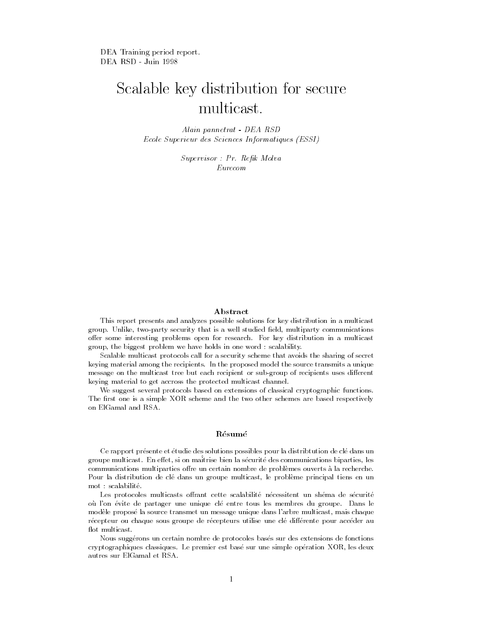DEA Training period report. DEA RSD - Juin 1998

# Scalable key distribution for secure multicast.

Alain pannetrat - DEA RSD Ecole Superieur des Sciences Informatiques (ESSI)

Supervisor : Pr. Rek Molva

#### Abstract

This report presents and analyzes possible solutions for key distribution in a multicast group. Unlike, two-party security that is a well studied field, multiparty communications offer some interesting problems open for research. For key distribution in a multicast group, the biggest problem we have holds in one word : scalability.

Scalable multicast protocols call for a security scheme that avoids the sharing of secret keying material among the recipients. In the proposed model the source transmits a unique message on the multicast tree but each recipient or sub-group of recipients uses different keying material to get accross the protected multicast channel.

We suggest several protocols based on extensions of classical cryptographic functions. The first one is a simple XOR scheme and the two other schemes are based respectively on ElGamal and RSA.

#### Résumé

Ce rapport présente et étudie des solutions possibles pour la distribtution de clé dans un groupe multicast. En effet, si on maîtrise bien la sécurité des communications biparties, les communications multiparties offre un certain nombre de problèmes ouverts à la recherche. Pour la distribution de cle dans un groupe multicast, le probleme principal tiens en un mot : scalabilite.

Les protocoles multicasts offrant cette scalabilité nécessitent un shéma de sécurité ou l'on evite de partager une unique cle entre tous les membres du groupe. Dans le modele propose la source transmet un message unique dans l'arbre multicast, mais chaque récepteur ou chaque sous groupe de récepteurs utilise une clé différente pour accéder au flot multicast.

Nous suggerons un certain nombre de protocoles bases sur des extensions de fonctions cryptographiques classiques. Le premier est base sur une simple operation XOR, les deux autres sur ElGamal et RSA.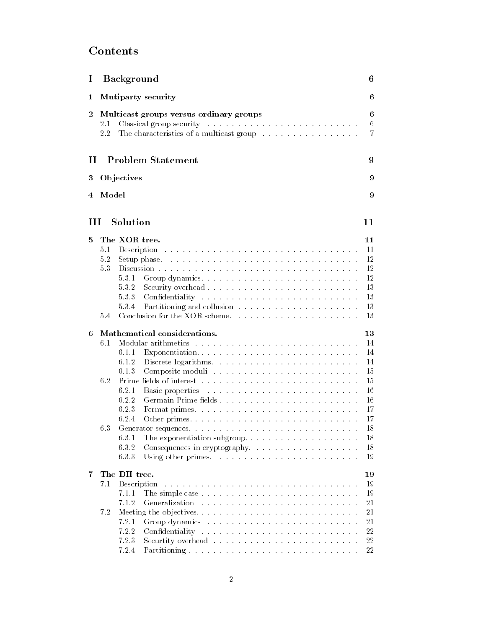# Contents

| $\bf{I}$         |                                                                                                                                          | <b>Background</b>                                                                                                                                                                                                                       | 6              |  |  |  |  |  |  |  |  |  |
|------------------|------------------------------------------------------------------------------------------------------------------------------------------|-----------------------------------------------------------------------------------------------------------------------------------------------------------------------------------------------------------------------------------------|----------------|--|--|--|--|--|--|--|--|--|
| 1                |                                                                                                                                          | Mutiparty security                                                                                                                                                                                                                      | 6              |  |  |  |  |  |  |  |  |  |
| $\boldsymbol{2}$ |                                                                                                                                          | Multicast groups versus ordinary groups                                                                                                                                                                                                 | 6              |  |  |  |  |  |  |  |  |  |
|                  | $2.1\,$                                                                                                                                  |                                                                                                                                                                                                                                         | 6              |  |  |  |  |  |  |  |  |  |
|                  | 2.2                                                                                                                                      |                                                                                                                                                                                                                                         | $\overline{7}$ |  |  |  |  |  |  |  |  |  |
|                  |                                                                                                                                          |                                                                                                                                                                                                                                         |                |  |  |  |  |  |  |  |  |  |
|                  | <b>Problem Statement</b><br>П                                                                                                            |                                                                                                                                                                                                                                         |                |  |  |  |  |  |  |  |  |  |
| 3                |                                                                                                                                          | Objectives                                                                                                                                                                                                                              | 9              |  |  |  |  |  |  |  |  |  |
| Model            |                                                                                                                                          |                                                                                                                                                                                                                                         |                |  |  |  |  |  |  |  |  |  |
| 4                |                                                                                                                                          |                                                                                                                                                                                                                                         | 9              |  |  |  |  |  |  |  |  |  |
| Ш                |                                                                                                                                          | Solution                                                                                                                                                                                                                                | 11             |  |  |  |  |  |  |  |  |  |
|                  |                                                                                                                                          |                                                                                                                                                                                                                                         |                |  |  |  |  |  |  |  |  |  |
| 5                |                                                                                                                                          | The XOR tree.                                                                                                                                                                                                                           | 11             |  |  |  |  |  |  |  |  |  |
|                  | 5.1                                                                                                                                      |                                                                                                                                                                                                                                         | 11             |  |  |  |  |  |  |  |  |  |
|                  | 5.2                                                                                                                                      |                                                                                                                                                                                                                                         | 12             |  |  |  |  |  |  |  |  |  |
|                  | 53                                                                                                                                       |                                                                                                                                                                                                                                         | 12             |  |  |  |  |  |  |  |  |  |
|                  |                                                                                                                                          | 5.3.1<br>Group dynamics                                                                                                                                                                                                                 | 12             |  |  |  |  |  |  |  |  |  |
|                  |                                                                                                                                          | $5.3.2\,$<br>Security overhead                                                                                                                                                                                                          | 13             |  |  |  |  |  |  |  |  |  |
|                  |                                                                                                                                          | 533                                                                                                                                                                                                                                     | 13             |  |  |  |  |  |  |  |  |  |
|                  |                                                                                                                                          | 5.3.4                                                                                                                                                                                                                                   | 13             |  |  |  |  |  |  |  |  |  |
|                  | 5.4                                                                                                                                      | Conclusion for the XOR scheme.                                                                                                                                                                                                          | 13             |  |  |  |  |  |  |  |  |  |
| 6                |                                                                                                                                          | Mathematical considerations.                                                                                                                                                                                                            | 13             |  |  |  |  |  |  |  |  |  |
|                  | 6.1                                                                                                                                      | Modular arithmetics research research resources in the set of the set of the set of the set of the set of the set of the set of the set of the set of the set of the set of the set of the set of the set of the set of the se          | 14             |  |  |  |  |  |  |  |  |  |
|                  |                                                                                                                                          | 6.1.1<br>Exponentiation                                                                                                                                                                                                                 | 14             |  |  |  |  |  |  |  |  |  |
|                  |                                                                                                                                          | 6.1.2                                                                                                                                                                                                                                   | 14             |  |  |  |  |  |  |  |  |  |
|                  |                                                                                                                                          | 6.1.3                                                                                                                                                                                                                                   | 15             |  |  |  |  |  |  |  |  |  |
|                  | 6.2                                                                                                                                      |                                                                                                                                                                                                                                         | 15             |  |  |  |  |  |  |  |  |  |
|                  |                                                                                                                                          | 6.2.1<br>Basic properties and containing the contact of the set of the set of the set of the set of the set of the set of the set of the set of the set of the set of the set of the set of the set of the set of the set of the set of | 16             |  |  |  |  |  |  |  |  |  |
|                  |                                                                                                                                          | 6.2.2                                                                                                                                                                                                                                   | 16             |  |  |  |  |  |  |  |  |  |
|                  |                                                                                                                                          | 6.2.3                                                                                                                                                                                                                                   | 17             |  |  |  |  |  |  |  |  |  |
|                  |                                                                                                                                          | 6.2.4                                                                                                                                                                                                                                   | 17             |  |  |  |  |  |  |  |  |  |
|                  | 6.3                                                                                                                                      |                                                                                                                                                                                                                                         | 18             |  |  |  |  |  |  |  |  |  |
|                  |                                                                                                                                          | 6.3.1                                                                                                                                                                                                                                   | 18             |  |  |  |  |  |  |  |  |  |
|                  |                                                                                                                                          | 6.3.2<br>Consequences in cryptography.                                                                                                                                                                                                  | 18             |  |  |  |  |  |  |  |  |  |
|                  |                                                                                                                                          | 6.33                                                                                                                                                                                                                                    | 19             |  |  |  |  |  |  |  |  |  |
| 7                |                                                                                                                                          | The DH tree.                                                                                                                                                                                                                            | 19             |  |  |  |  |  |  |  |  |  |
|                  | Description<br>7.1<br>a construction of the construction of the construction of the construction of the construction of the construction |                                                                                                                                                                                                                                         |                |  |  |  |  |  |  |  |  |  |
|                  |                                                                                                                                          | 7.1.1                                                                                                                                                                                                                                   | 19<br>19       |  |  |  |  |  |  |  |  |  |
|                  |                                                                                                                                          |                                                                                                                                                                                                                                         |                |  |  |  |  |  |  |  |  |  |
|                  |                                                                                                                                          | 7.1.2<br>Generalization<br>the contract of the contract of the contract of the contract of the contract of the contract of                                                                                                              | 21             |  |  |  |  |  |  |  |  |  |
|                  | 7.2                                                                                                                                      | Meeting the objectives                                                                                                                                                                                                                  | 21             |  |  |  |  |  |  |  |  |  |
|                  |                                                                                                                                          | 7.2.1                                                                                                                                                                                                                                   | 21             |  |  |  |  |  |  |  |  |  |
|                  |                                                                                                                                          | 7.2.2                                                                                                                                                                                                                                   | 22             |  |  |  |  |  |  |  |  |  |
|                  |                                                                                                                                          | 7.2.3                                                                                                                                                                                                                                   | 22             |  |  |  |  |  |  |  |  |  |
|                  |                                                                                                                                          | 724<br>Partitioning                                                                                                                                                                                                                     | 22             |  |  |  |  |  |  |  |  |  |

7.2.4 Partitioning . . . . . . . . . ................... 22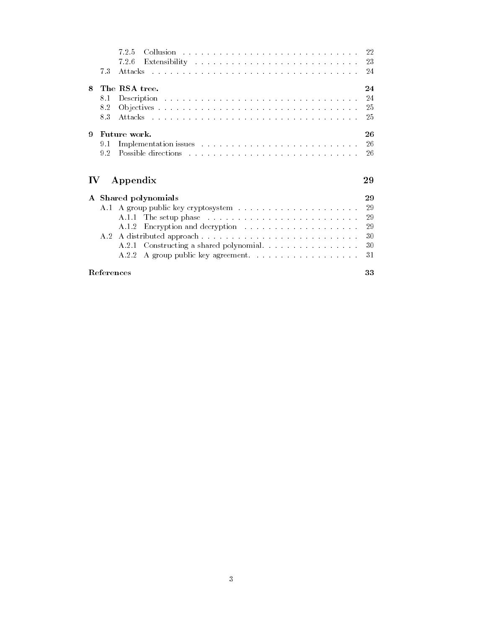|              |     | 7.2.5<br>Collusion and a contract the contract of the contract of the contract of the contract of the contract of the contract of the contract of the contract of the contract of the contract of the contract of the contract of the c<br>-22 |  |
|--------------|-----|------------------------------------------------------------------------------------------------------------------------------------------------------------------------------------------------------------------------------------------------|--|
|              |     | 726                                                                                                                                                                                                                                            |  |
|              | 7.3 | Attacks research research research research research research<br>-24                                                                                                                                                                           |  |
| 8            |     | The RSA tree.<br>24                                                                                                                                                                                                                            |  |
|              | 8.1 | 24                                                                                                                                                                                                                                             |  |
|              | 8.2 | -25                                                                                                                                                                                                                                            |  |
|              | 83  | Attacks research and a contract of the contract of the contract of the contract of the contract of the contract of the contract of the contract of the contract of the contract of the contract of the contract of the contrac<br>-25          |  |
| 9            |     | Future work.<br>26                                                                                                                                                                                                                             |  |
|              | 9.1 | Implementation issues resources and contained a series of the series of the series of the series of the series of the series of the series of the series of the series of the series of the series of the series of the series<br>-26          |  |
|              | 9.2 | Possible directions with a contract the contract of the contract of the contract of the contract of the contract of the contract of the contract of the contract of the contract of the contract of the contract of the contra<br>-26          |  |
|              |     |                                                                                                                                                                                                                                                |  |
| IV.          |     | Appendix<br>29                                                                                                                                                                                                                                 |  |
| $\mathbf{A}$ |     | 29                                                                                                                                                                                                                                             |  |
|              |     | Shared polynomials<br>29                                                                                                                                                                                                                       |  |
|              |     | -29                                                                                                                                                                                                                                            |  |
|              |     | 29<br>A.1.2                                                                                                                                                                                                                                    |  |
|              | A 2 | Encryption and decryption                                                                                                                                                                                                                      |  |
|              |     | 30                                                                                                                                                                                                                                             |  |
|              |     | A.2.1 Constructing a shared polynomial<br>30<br>A group public key agreement.<br>31<br>A 2 2                                                                                                                                                   |  |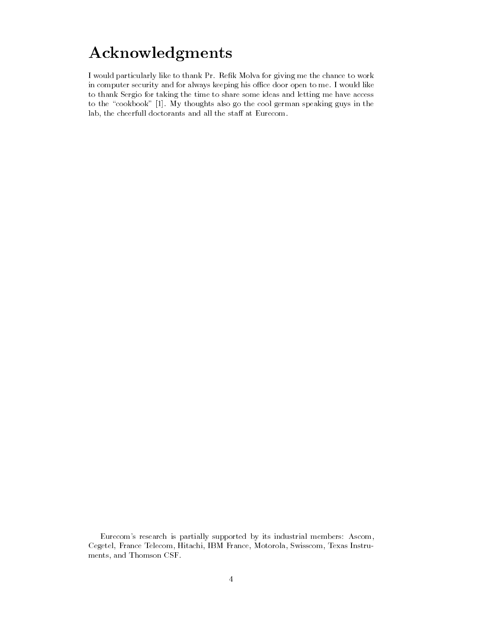# Acknowledgments

I would particularly like to thank Pr. Refik Molva for giving me the chance to work in computer security and for always keeping his office door open to me. I would like to thank Sergio for taking the time to share some ideas and letting me have access to the "cookbook" [1]. My thoughts also go the cool german speaking guys in the lab, the cheerfull doctorants and all the staff at Eurecom.

Eurecom's research is partially supported by its industrial members: Ascom, Cegetel, France Telecom, Hitachi, IBM France, Motorola, Swisscom, Texas Instru ments, and Thomson CSF.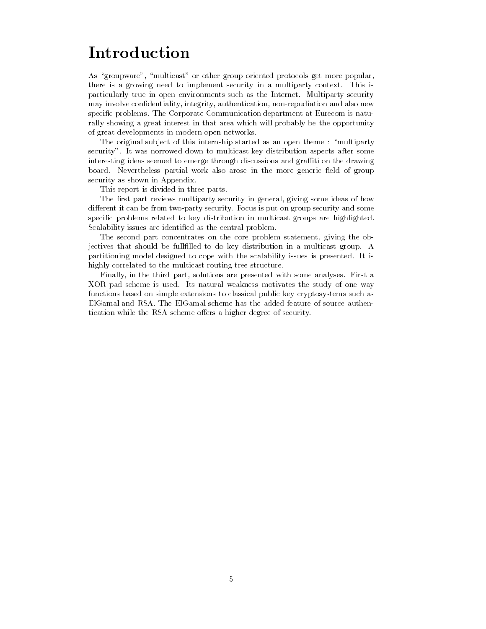# Introduction

As "groupware", "multicast" or other group oriented protocols get more popular, there is a growing need to implement security in a multiparty context. This is particularly true in open environments such as the Internet. Multiparty security may involve condentiality, integrity, authentication, non-repudiation and also new specic problems. The Corporate Communication department at Eurecom is naturally showing a great interest in that area which will probably be the opportunity of great developments in modern open networks.

The original subject of this internship started as an open theme : "multiparty" security". It was norrowed down to multicast key distribution aspects after some interesting ideas seemed to emerge through discussions and graffiti on the drawing board. Nevertheless partial work also arose in the more generic field of group security as shown in Appendix.

This report is divided in three parts.

The first part reviews multiparty security in general, giving some ideas of how different it can be from two-party security. Focus is put on group security and some specic problems related to key distribution in multicast groups are highlighted. Scalability issues are identified as the central problem.

The second part concentrates on the core problem statement, giving the objectives that should be fulllled to do key distribution in a multicast group. A partitioning model designed to cope with the scalability issues is presented. It is highly correlated to the multicast routing tree structure.

Finally, in the third part, solutions are presented with some analyses. First a XOR pad scheme is used. Its natural weakness motivates the study of one way functions based on simple extensions to classical public key cryptosystems such as ElGamal and RSA. The ElGamal scheme has the added feature of source authentication while the RSA scheme offers a higher degree of security.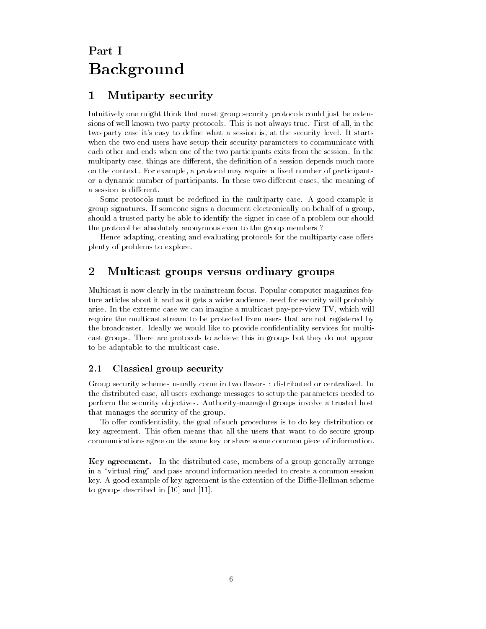# Background

#### Mutiparty security  $\mathbf 1$

Intuitively one might think that most group security protocols could just be extensions of well known two-party protocols. This is not always true. First of all, in the two-party case it's easy to define what a session is, at the security level. It starts when the two end users have setup their security parameters to communicate with each other and ends when one of the two participants exits from the session. In the multiparty case, things are different, the definition of a session depends much more on the context. For example, a protocol may require a fixed number of participants or a dynamic number of participants. In these two different cases, the meaning of a session is different.

Some protocols must be redefined in the multiparty case. A good example is group signatures. If someone signs a document electronically on behalf of a group, should a trusted party be able to identify the signer in case of a problem our should the protocol be absolutely anonymous even to the group members ?

Hence adapting, creating and evaluating protocols for the multiparty case offers plenty of problems to explore.

#### $\overline{2}$ 2 Multicast groups versus ordinary groups

Multicast is now clearly in the mainstream focus. Popular computer magazines feature articles about it and as it gets a wider audience, need for security will probably arise. In the extreme case we can imagine a multicast pay-per-view TV, which will require the multicast stream to be protected from users that are not registered by the broadcaster. Ideally we would like to provide condentiality services for multicast groups. There are protocols to achieve this in groups but they do not appear to be adaptable to the multicast case.

#### 2.1 Classical group security

Group security schemes usually come in two flavors : distributed or centralized. In the distributed case, all users exchange messages to setup the parameters needed to perform the security objectives. Authority-managed groups involve a trusted host that manages the security of the group.

To offer confidentiality, the goal of such procedures is to do key distribution or key agreement. This often means that all the users that want to do secure group communications agree on the same key or share some common piece of information.

Key agreement. In the distributed case, members of a group generally arrange in a "virtual ring" and pass around information needed to create a common session key. A good example of key agreement is the extention of the Diffie-Hellman scheme to groups described in [10] and [11].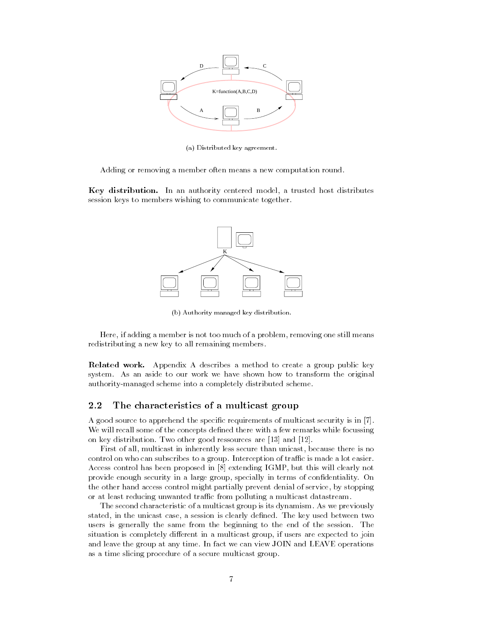

(a) Distributed key agreement.

Adding or removing a member often means a new computation round.

Key distribution. In an authority centered model, a trusted host distributes session keys to members wishing to communicate together.



(b) Authority managed key distribution.

Here, if adding a member is not too much of a problem, removing one still means redistributing a new key to all remaining members.

Related work. Appendix A describes a method to create a group public key system. As an aside to our work we have shown how to transform the original authority-managed scheme into a completely distributed scheme.

## 2.2 The characteristics of a multicast group

A good source to apprehend the specic requirements of multicast security is in [7]. We will recall some of the concepts defined there with a few remarks while focussing on key distribution. Two other good ressources are [13] and [12].

First of all, multicast in inherently less secure than unicast, because there is no control on who can subscribes to a group. Interception of traffic is made a lot easier. Access control has been proposed in [8] extending IGMP, but this will clearly not provide enough security in a large group, specially in terms of condentiality. On the other hand access control might partially prevent denial of service, by stopping or at least reducing unwanted traffic from polluting a multicast datastream.

The second characteristic of a multicast group is its dynamism. As we previously stated, in the unicast case, a session is clearly defined. The key used between two users is generally the same from the beginning to the end of the session. The situation is completely different in a multicast group, if users are expected to join and leave the group at any time. In fact we can view JOIN and LEAVE operations as a time slicing procedure of a secure multicast group.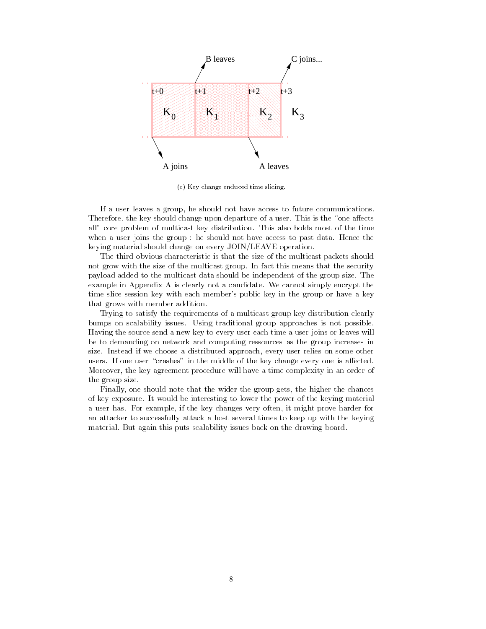

(c) Key change enduced time slicing.

If a user leaves a group, he should not have access to future communications. Therefore, the key should change upon departure of a user. This is the "one affects all" core problem of multicast key distribution. This also holds most of the time when a user joins the group : he should not have access to past data. Hence the keying material should change on every JOIN/LEAVE operation.

The third obvious characteristic is that the size of the multicast packets should not grow with the size of the multicast group. In fact this means that the security payload added to the multicast data should be independent of the group size. The example in Appendix A is clearly not a candidate. We cannot simply encrypt the time slice session key with each member's public key in the group or haveakey that grows with member addition.

Trying to satisfy the requirements of a multicast group key distribution clearly bumps on scalability issues. Using traditional group approaches is not possible. Having the source send a new key to every user each time a user joins or leaves will be to demanding on network and computing ressources as the group increases in size. Instead if we choose a distributed approach, every user relies on some other users. If one user "crashes" in the middle of the key change every one is affected. Moreover, the key agreement procedure will have a time complexity in an order of the group size.

Finally, one should note that the wider the group gets, the higher the chances of key exposure. It would be interesting to lower the power of the keying material a user has. For example, if the key changes very often, it might prove harder for an attacker to successfully attack a host several times to keep up with the keying material. But again this puts scalability issues back on the drawing board.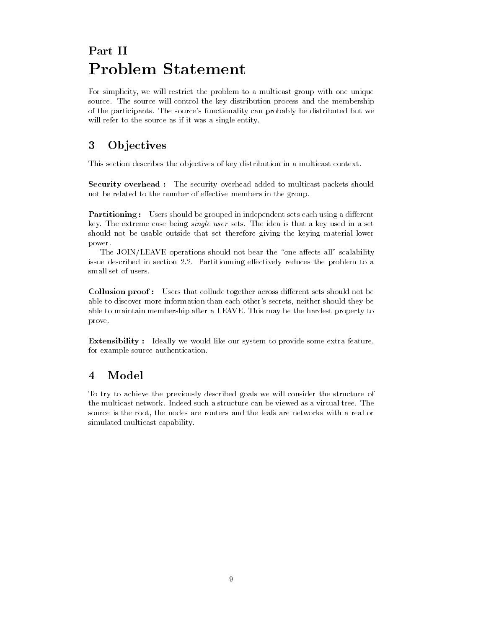# **Problem Statement**

For simplicity, we will restrict the problem to a multicast group with one unique source. The source will control the key distribution process and the membership of the participants. The source's functionality can probably be distributed but we will refer to the source as if it was a single entity.

#### 3 **Ob** jectives

This section describes the objectives of key distribution in a multicast context.

Security overhead : The security overhead added to multicast packets should not be related to the number of effective members in the group.

Partitioning : Users should be grouped in independent sets each using a different key. The extreme case being single user sets. The idea is that a key used in a set should not be usable outside that set therefore giving the keying material lower power.

The JOIN/LEAVE operations should not bear the "one affects all" scalability issue described in section 2.2. Partitionning effectively reduces the problem to a small set of users.

Collusion proof: Users that collude together across different sets should not be able to discover more information than each other's secrets, neither should they be able to maintain membership after a LEAVE. This may be the hardest property to prove.

**Extensibility** : Ideally we would like our system to provide some extra feature, for example source authentication.

# 4 Model

To try to achieve the previously described goals we will consider the structure of the multicast network. Indeed such a structure can be viewed as a virtual tree. The source is the root, the nodes are routers and the leafs are networks with a real or simulated multicast capability.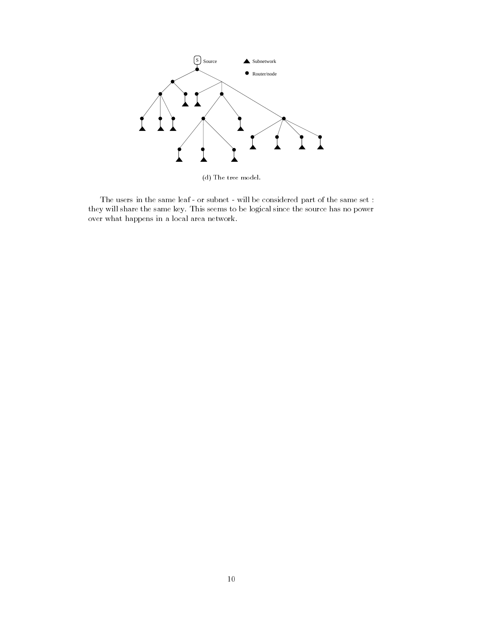

(d) The tree model.

The users in the same leaf - or subnet - will be considered part of the same set : they will share the same key. This seems to be logical since the source has no power over what happens in a local area network.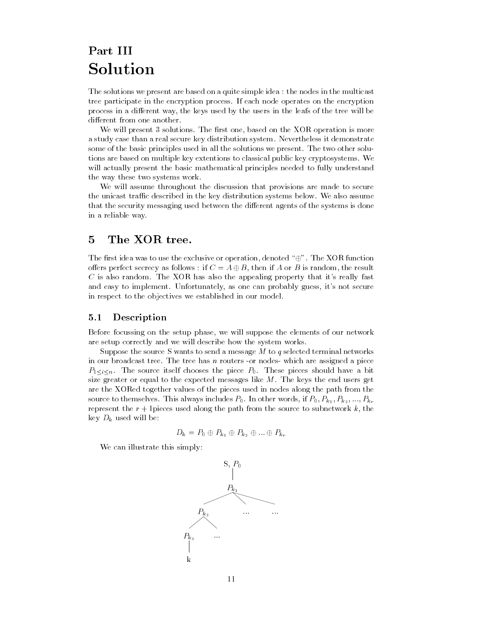# Part III Solution

The solutions we present are based on a quite simple idea : the nodes in the multicast tree participate in the encryption process. If each node operates on the encryption process in a different way, the keys used by the users in the leafs of the tree will be different from one another.

We will present 3 solutions. The first one, based on the XOR operation is more a study case than a real secure key distribution system. Nevertheless it demonstrate some of the basic principles used in all the solutions we present. The two other solutions are based on multiple key extentions to classical public key cryptosystems. We will actually present the basic mathematical principles needed to fully understand the way these two systems work.

We will assume throughout the discussion that provisions are made to secure the unicast traffic described in the key distribution systems below. We also assume that the security messaging used between the different agents of the systems is done in a reliable way.

## 5 The XOR tree.

The first idea was to use the exclusive or operation, denoted " $\oplus$ ". The XOR function offers perfect secrecy as follows : if  $C = A \oplus B$ , then if A or B is random, the result  $C$  is also random. The XOR has also the appealing property that it's really fast and easy to implement. Unfortunately, as one can probably guess, it's not secure in respect to the objectives we established in our model.

## 5.1 Description

Before focussing on the setup phase, we will suppose the elements of our network are setup correctly and we will describe how the system works.

Suppose the source S wants to send a message M to q selected terminal networks in our broadcast tree. The tree has  $n$  routers -or nodes- which are assigned a piece  $P_{1 \leq i \leq n}$ . The source itself chooses the piece  $P_0$ . These pieces should have a bit size greater or equal to the expected messages like M. The keys the end users get are the XORed together values of the pieces used in nodes along the path from the source to themselves. This always includes  $P_0$ . In other words, if  $P_0$ ,  $P_{k_1}$ ,  $P_{k_2}$ , ...,  $P_{k_r}$ represent the  $r + 1$  pieces used along the path from the source to subnetwork k, the key  $D_k$  used will be:

$$
D_k = P_0 \oplus P_{k_1} \oplus P_{k_2} \oplus \ldots \oplus P_{k_r}
$$

We can illustrate this simply:

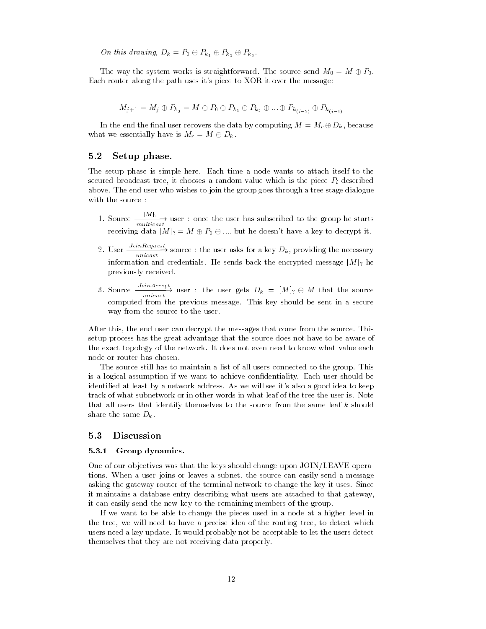On this drawing,  $D_k = P_0 \oplus P_{k_1} \oplus P_{k_2} \oplus P_{k_3}$ .

The way the system works is straightforward. The source send  $M_0 = M \oplus P_0$ . Each router along the path uses it's piece to XOR it over the message:

$$
M_{j+1} = M_j \oplus P_{k_j} = M \oplus P_0 \oplus P_{k_1} \oplus P_{k_2} \oplus \dots \oplus P_{k_{(j-2)}} \oplus P_{k_{(j-1)}}
$$

In the end the final user recovers the data by computing  $M = M_r \oplus D_k$ , because what we essentially have is  $M_r = M \oplus D_k$ .

#### $5.2$ Setup phase.

The setup phase is simple here. Each time a node wants to attach itself to the secured broadcast tree, it chooses a random value which is the piece  $P_i$  described above. The end user who wishes to join the group goes through a tree stage dialogue with the source :

- 1. Source  $\frac{1}{1-\mu}$  user : once the user has subscribed to the group he starts receiving data  $[M]_? = M \oplus P_0 \oplus ...,$  but he doesn't have a key to decrypt it.
- 2. User  $\xrightarrow{unicast}$  source : the user asks for a key  $D_k$ , providing the necessary information and credentials. He sends back the encrypted message  $\mathcal{M}$  he encrypted message  $\mathcal{M}$ previously received.
- 3. Source  $\frac{1}{\text{unicast}}$  user : the user gets  $D_k = [M]_? \oplus M$  that the source computed from the previous message. This key should be sent in a secure way from the source to the user.

After this, the end user can decrypt the messages that come from the source. This setup process has the great advantage that the source does not have to be aware of the exact topology of the network. It does not even need to know what value each node or router has chosen.

The source still has to maintain a list of all users connected to the group. This is a logical assumption if we want to achieve condentiality. Each user should be identied at least by a network address. As we will see it's also a good idea to keep track of what subnetwork or in other words in what leaf of the tree the user is. Note that all users that identify themselves to the source from the same leaf k should share the same  $D_k$ .

#### $5.3$ **Discussion**

#### 5.3.1 Group dynamics.

One of our objectives was that the keys should change upon JOIN/LEAVE operations. When a user joins or leaves a subnet, the source can easily send a message asking the gateway router of the terminal network to change the key it uses. Since it maintains a database entry describing what users are attached to that gateway, it can easily send the new key to the remaining members of the group.

If we want to be able to change the pieces used in a node at a higher level in the tree, we will need to have a precise idea of the routing tree, to detect which users need a key update. It would probably not be acceptable to let the users detect themselves that they are not receiving data properly.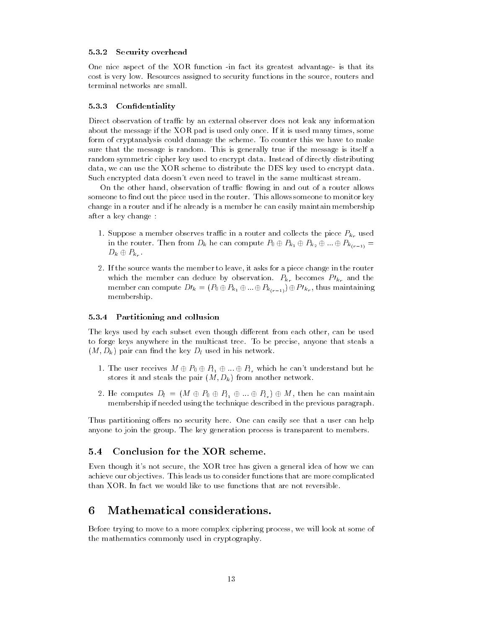#### 5.3.2 Security overhead

One nice aspect of the XOR function -in fact its greatest advantage- is that its cost is very low. Resources assigned to security functions in the source, routers and terminal networks are small.

#### 5.3.3 Condentiality

Direct observation of traffic by an external observer does not leak any information about the message if the XOR pad is used only once. If it is used many times, some form of cryptanalysis could damage the scheme. To counter this we have to make sure that the message is random. This is generally true if the message is itself a random symmetric cipher key used to encrypt data. Instead of directly distributing data, we can use the XOR scheme to distribute the DES key used to encrypt data. Such encrypted data doesn't even need to travel in the same multicast stream.

On the other hand, observation of traffic flowing in and out of a router allows someone to find out the piece used in the router. This allows someone to monitor key change in a router and if he already is a member he can easily maintain membership after a key change :

- 1. Suppose a member observes traffic in a router and collects the piece  $P_{k_r}$  used in the router. Then from  $D_k$  he can compute  $P_0 \oplus P_{k_1} \oplus P_{k_2} \oplus ... \oplus P_{k_{(r-1)}} =$  $D_k \oplus P_{k_r}$ .
- 2. If the source wants the member to leave, it asks for a piece change in the router which the member can deduce by observation.  $P_{k_r}$  becomes  $PI_{k_r}$  and the member can compute  $Dl_k = (P_0 \oplus P_{k_1} \oplus ... \oplus P_{k_{(r-1)}}) \oplus Pl_{k_r}$ , thus maintaining membership.

#### 5.3.4 Partitioning and collusion

The keys used by each subset even though different from each other, can be used to forge keys anywhere in the multicast tree. To be precise, anyone that steals a  $(M, D_k)$  pair can find the key  $D_l$  used in his network.

- 1. The user receives  $M \oplus P_0 \oplus P_{l_1} \oplus ... \oplus P_{l_s}$  which he can't understand but he stores it and steals the pair  $(M, D_k)$  from another network.
- 2. He computes  $D_l = (M \oplus P_0 \oplus P_{l_1} \oplus ... \oplus P_{l_s}) \oplus M$ , then he can maintain membership if needed using the technique described in the previous paragraph.

Thus partitioning offers no security here. One can easily see that a user can help anyone to join the group. The key generation process is transparent to members.

#### $5.4$ 5.4 Conclusion for the XOR scheme.

Even though it's not secure, the XOR tree has given a general idea of how we can achieve our objectives. This leads us to consider functions that are more complicated than XOR. In fact we would like to use functions that are not reversible.

#### 6 Mathematical considerations.

Before trying to move to a more complex ciphering process, we will look at some of the mathematics commonly used in cryptography.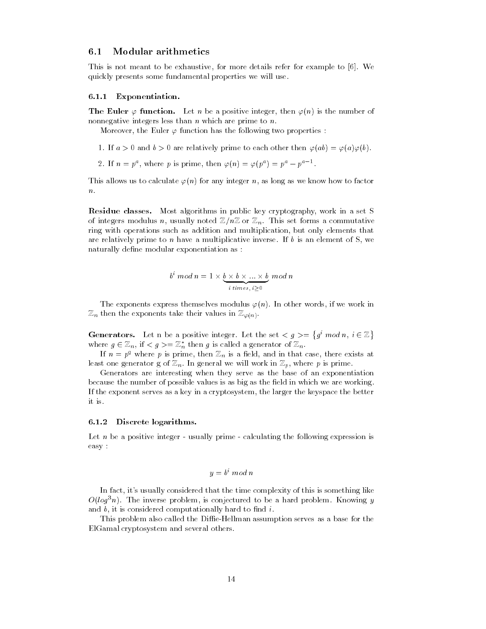#### 6.1 Modular arithmetics

This is not meant to be exhaustive, for more details refer for example to [6]. We quickly presents some fundamental properties we will use.

#### 6.1.1 Exponentiation.

**The Euler**  $\varphi$  **function.** Let n be a positive integer, then  $\varphi(n)$  is the number of nonnegative integers less than  $n$  which are prime to  $n$ .

Moreover, the Euler  $\varphi$  function has the following two properties :

- 1. If  $a > 0$  and  $b > 0$  are relatively prime to each other then  $\varphi(ab) = \varphi(a)\varphi(b)$ .
- 2. If  $n = p^{\alpha}$ , where p is prime, then  $\varphi(n) = \varphi(p^{\alpha}) = p^{\alpha} p^{\alpha-1}$ .

This allows us to calculate  $\varphi(n)$  for any integer n, as long as we know how to factor  $\overline{n}$ .

Residue classes. Most algorithms in public key cryptography, work in a set S of integers modulus n, usually noted  $\mathbb{Z}/n\mathbb{Z}$  or  $\mathbb{Z}_n$ . This set forms a commutative ring with operations such as addition and multiplication, but only elements that are relatively prime to n have a multiplicative inverse. If  $b$  is an element of S, we naturally define modular exponentiation as :

$$
bi mod n = 1 \times \underbrace{b \times b \times \ldots \times b}_{i \text{ times, } i > 0} mod n
$$

The exponents express themselves modulus  $\varphi(n)$ . In other words, if we work in  $\mathbb{Z}_n$  then the exponents take their values in  $\mathbb{Z}_{\varphi(n)}$ .

**Generators.** Let n be a positive integer. Let the set  $\langle q \rangle = \{q^i \mod n, i \in \mathbb{Z}\}\$ where  $g \in \mathbb{Z}_n$ , if  $\langle g \rangle = \mathbb{Z}_n^*$  then g is called a generator of  $\mathbb{Z}_n$ .

If  $n = p<sup>q</sup>$  where p is prime, then  $\mathbb{Z}_n$  is a field, and in that case, there exists at least one generator g of  $\mathbb{Z}_n$ . In general we will work in  $\mathbb{Z}_n$ , where p is prime.

Generators are interesting when they serve as the base of an exponentiation because the number of possible values is as big as the field in which we are working. If the exponent serves as a key in a cryptosystem, the larger the keyspace the better it is.

#### 6.1.2 Discrete logarithms.

Let  $n$  be a positive integer - usually prime - calculating the following expression is easy :

$$
y = b^i \bmod n
$$

In fact, it's usually considered that the time complexity of this is something like  $O(log^3n)$ . The inverse problem, is conjectured to be a hard problem. Knowing y and  $b$ , it is considered computationally hard to find  $i$ .

This problem also called the Diffie-Hellman assumption serves as a base for the ElGamal cryptosystem and several others.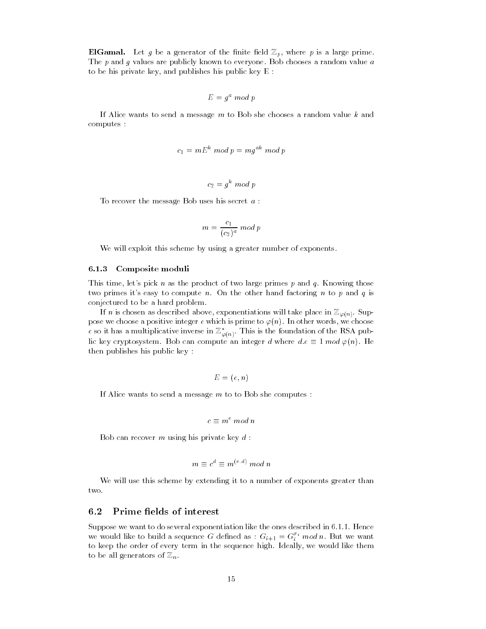**ElGamal.** Let g be a generator of the finite field  $\mathbb{Z}_p$ , where p is a large prime. The  $p$  and  $g$  values are publicly known to everyone. Bob chooses a random value  $a$ to be his private key, and publishes his public key E :

$$
E = g^a \bmod p
$$

If Alice wants to send a message m to Bob she chooses a random value k and computes :

$$
c_1 = mE^k \bmod p = mg^{ak} \bmod p
$$

$$
c_2 = g^k \bmod p
$$

To recover the message Bob uses his secret a :

$$
m = \frac{c_1}{(c_2)^a} \bmod p
$$

We will exploit this scheme by using a greater number of exponents.

#### 6.1.3 Composite moduli

This time, let's pick n as the product of two large primes  $p$  and  $q$ . Knowing those two primes it's easy to compute n. On the other hand factoring n to p and q is conjectured to be a hard problem.

If n is chosen as described above, exponentiations will take place in  $\mathbb{Z}_{\varphi(n)}$ . Suppose we choose a positive integer e which is prime to  $\varphi(n)$ . In other words, we choose  $e$  so it has a multiplicative inverse in  $\mathbb{Z}_{\varphi(n)}.$  This is the foundation of the RSA public key cryptosystem. Bob can compute an integer d where  $d.e \equiv 1 \mod \varphi(n)$ . He then publishes his public key :

$$
E=(e,n)
$$

If Alice wants to send a message  $m$  to to Bob she computes :

$$
c \equiv m^e \bmod n
$$

Bob can recover m using his private key  $d$ :

$$
m\equiv c^d\equiv m^{(e,d)}\ mod\ n
$$

We will use this scheme by extending it to a number of exponents greater than two.

#### $6.2$ Prime fields of interest

Suppose we want to do several exponentiation like the ones described in 6.1.1. Hence we would like to build a sequence G defined as :  $G_{i+1} = G_i^*$  mod n. But we want to keep the order of every term in the sequence high. Ideally, we would like them to be all generators of  $\mathbb{Z}_n$ .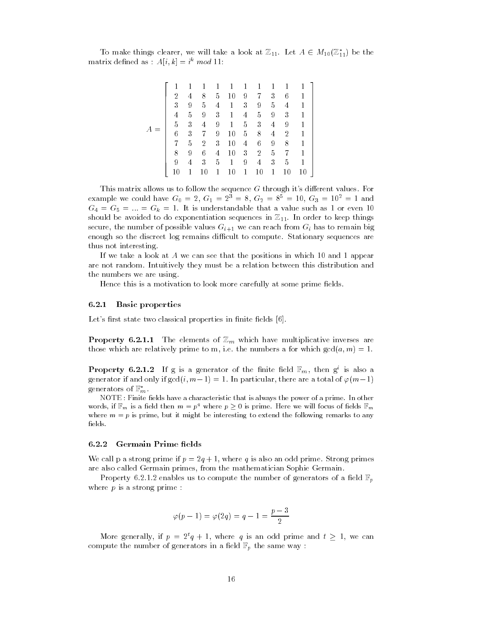To make things clearer, we will take a look at  $\mathbb{Z}_{11}$ . Let  $A \in M_{10}(\mathbb{Z}_{11}^*)$  be the matrix defined as :  $A[i, k] = i^k \mod 11$ :

> 3 7 The contract of the contract of the contract of the contract of the contract of the contract of the contract of The contract of the contract of the contract of the contract of the contract of the contract of the contract of The contract of the contract of the contract of the contract of the contract of the contract of the contract of The contract of the contract of the contract of the contract of the contract of the contract of the contract of The contract of the contract of the contract of the contract of the contract of the contract of the contract of The contract of the contract of the contract of the contract of the contract of the contract of the contract of 72 and 2012 12:00 percent of the control of the control of the control of the control of the control of the control of the control of the control of the control of the control of the control of the control of the control o 72 and 2012 12:00 percent of the control of the control of the control of the control of the control of the control of the control of the control of the control of the control of the control of the control of the control o 72 and 2012 12:00 percent of the control of the control of the control of the control of the control of the control of the control of the control of the control of the control of the control of the control of the control o 72 and 2012 12:00 percent of the control of the control of the control of the control of the control of the control of the control of the control of the control of the control of the control of the control of the control o 72 and 2012 12:00 percent of the control of the control of the control of the control of the control of the control of the control of the control of the control of the control of the control of the control of the control o 72 and 2012 12:00 percent of the control of the control of the control of the control of the control of the control of the control of the control of the control of the control of the control of the control of the control o 72 and 2012 12:00 percent of the control of the control of the control of the control of the control of the control of the control of the control of the control of the control of the control of the control of the control o The contract of the contract of the contract of the contract of the contract of

|    |   | 1  | 1 | $\mathbf{1}$ | 1 | 1              | 1 |                |    |  |
|----|---|----|---|--------------|---|----------------|---|----------------|----|--|
| 2  | 4 | 8  | 5 | 10           | 9 | 7              | 3 | 6              |    |  |
| 3  | 9 | 5  | 4 | 1            | 3 | 9              | 5 | 4              |    |  |
| 4  | 5 | 9  | 3 | 1            | 4 | 5              | 9 | 3              |    |  |
| 5  | 3 | 4  | 9 | 1            | 5 | 3              | 4 | 9              |    |  |
| 6  | 3 | 7  | 9 | 10           | 5 | 8              | 4 | $\overline{2}$ |    |  |
| 7  | 5 | 2  | 3 | 10           | 4 | 6              | 9 | 8              |    |  |
| 8  | 9 | 6  | 4 | 10           | 3 | $\overline{2}$ | 5 | 7              |    |  |
| 9  | 4 | 3  | 5 | 1            | 9 | 4              | 3 | 5              |    |  |
| 10 |   | 10 | 1 | $10\,$       | 1 | $10\,$         | 1 | 10             | 10 |  |

This matrix allows us to follow the sequence  $G$  through it's different values. For example we could have  $G_0 = 2, G_1 = 2^3 = 8, G_2 = 8^5 = 10, G_3 = 10^2 = 1$  and  $G_4 = G_5 = ... = G_k = 1$ . It is understandable that a value such as 1 or even 10 should be avoided to do exponentiation sequences in  $\mathbb{Z}_{11}$ . In order to keep things secure, the number of possible values  $G_{i+1}$  we can reach from  $G_i$  has to remain big enough so the discreet log remains difficult to compute. Stationary sequences are thus not interesting.

If we take a look at A we can see that the positions in which 10 and 1 appear are not random. Intuitively they must be a relation between this distribution and the numbers we are using.

Hence this is a motivation to look more carefully at some prime fields.

#### 6.2.1 Basic properties

Let's first state two classical properties in finite fields  $[6]$ .

**Property 6.2.1.1** The elements of  $\mathbb{Z}_m$  which have multiplicative inverses are those which are relatively prime to m, i.e. the numbers a for which  $gcd(a, m) = 1$ .

**Property 6.2.1.2** If g is a generator of the finite field  $\mathbb{F}_m$ , then g is also a generator if and only if  $gcd(i, m-1) = 1$ . In particular, there are a total of  $\varphi(m-1)$ generators of  $\mathbb{F}_m^*$ .

NOTE : Finite fields have a characteristic that is always the power of a prime. In other words, if  $\mathbb{F}_m$  is a field then  $m = p^2$  where  $p \geq 0$  is prime. Here we will focus of fields  $\mathbb{F}_m$ where  $m = p$  is prime, but it might be interesting to extend the following remarks to any elds.

#### 6.2.2 Germain Prime fields

We call p a strong prime if  $p = 2q + 1$ , where q is also an odd prime. Strong primes are also called Germain primes, from the mathematician Sophie Germain.

Property 6.2.1.2 enables us to compute the number of generators of a field  $\mathbb{F}_n$ where  $p$  is a strong prime :

$$
\varphi(p-1)=\varphi(2q)=q-1=\frac{p-3}{2}
$$

More generally, if  $p = 2^t q + 1$ , where q is an odd prime and  $t \ge 1$ , we can compute the number of generators in a field  $\mathbb{F}_p$  the same way :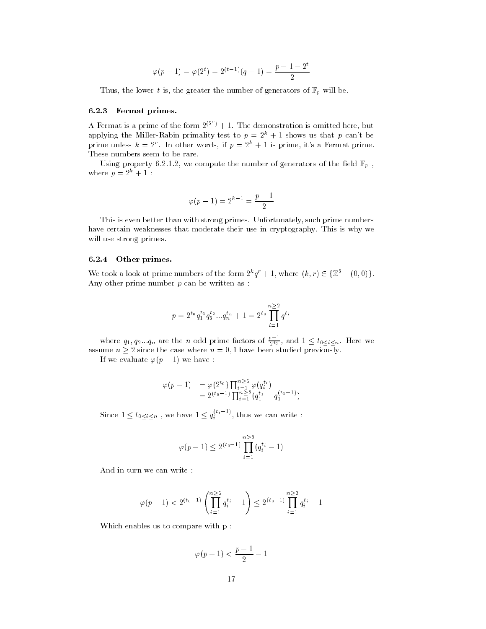$$
\varphi(p-1) = \varphi(2^t) = 2^{(t-1)}(q-1) = \frac{p-1-2^t}{2}
$$

Thus, the lower t is, the greater the number of generators of  $\mathbb{F}_p$  will be.

#### 6.2.3 Fermat primes.

A Fermat is a prime of the form  $2^{(2^r)}+1$ . The demonstration is omitted here, but applying the Miller-Rabin primality test to  $p = 2^k + 1$  shows us that p can't be prime unless  $k = 2^r$ . In other words, if  $p = 2^k + 1$  is prime, it's a Fermat prime. These numbers seem to be rare.

Using property 6.2.1.2, we compute the number of generators of the field  $\mathbb{F}_p$ , where  $p = 2^k + 1$ :

$$
\varphi\hspace{0.05cm}(p-1)=2^{k-1}=\frac{p-1}{2}
$$

This is even better than with strong primes. Unfortunately, such prime numbers have certain weaknesses that moderate their use in cryptography. This is why we will use strong primes.

#### 6.2.4 Other primes.

We took a look at prime numbers of the form  $2^k q^r + 1$ , where  $(k, r) \in \{Z^2 - (0, 0)\}.$ Any other prime number  $p$  can be written as :

$$
p = 2^{t_0} q_1^{t_1} q_2^{t_2} \dots q_n^{t_n} + 1 = 2^{t_0} \prod_{i=1}^{n \ge 2} q^{t_i}
$$

where  $q_1, q_2...q_n$  are the n odd prime factors of  $\frac{\nu - 1}{2^{t_0}}$ , and  $1 \le t_0 \le i \le n$ . Here we assume  $n \geq 2$  since the case where  $n = 0, 1$  have been studied previously.

If we evaluate  $\varphi(p-1)$  we have :

$$
\varphi(p-1) = \varphi(2^{t_0}) \prod_{i=1}^{n \ge 2} \varphi(q_i^{t_i})
$$
  
=  $2^{(t_0-1)} \prod_{i=1}^{n \ge 2} (q_1^{t_1} - q_1^{(t_1-1)})$ 

Since  $1 \le t_{0 \le i \le n}$  , we have  $1 \le q_i^{\binom{n-i}{i-1}}$ , thus we can write :

$$
\varphi(p-1) \le 2^{(t_0-1)} \prod_{i=1}^{n \ge 2} (q_i^{t_i} - 1)
$$

And in turn we can write :

$$
\varphi(p-1) < 2^{(t_0-1)} \left( \prod_{i=1}^{n \geq 2} q_i^{t_i} - 1 \right) \leq 2^{(t_0-1)} \prod_{i=1}^{n \geq 2} q_i^{t_i} - 1
$$

Which enables us to compare with p :

$$
\varphi(p-1) < \frac{p-1}{2} - 1
$$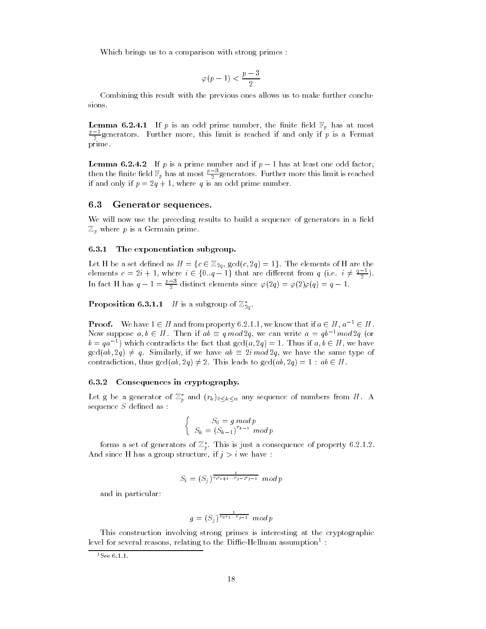Which brings us to a comparison with strong primes :

$$
\varphi\hspace{0.2mm}(p-1) < \frac{p-3}{2}
$$

Combining this result with the previous ones allows us to make further conclusions.

**Lemma 6.2.4.1** If p is an odd prime number, the finite field  $\mathbb{F}_p$  has at most  $\frac{p-2}{2}$ generators. Further more, this limit is reached if and only if p is a Fermat prime.

**Lemma 6.2.4.2** If p is a prime number and if  $p-1$  has at least one odd factor, then the finite field  $\mathbb{F}_p$  has at most  $\frac{\ell-3}{2}$  generators. Further more this limit is reached if and only if  $p = 2q + 1$ , where q is an odd prime number.

#### 6.3 Generator sequences.

We will now use the preceding results to build a sequence of generators in a field  $\mathbb{Z}_p$  where p is a Germain prime.

#### 6.3.1 The exponentiation subgroup.

Let H be a set defined as  $H = \{c \in \mathbb{Z}_{2q}, \operatorname{gcd}(c, 2q) = 1\}$ . The elements of H are the elements  $c = 2i + 1$ , where  $i \in \{0..q-1\}$  that are different from q (i.e.  $i \neq \frac{q-1}{2}$ ). <u>2002 - Jan James Barnett, ameri</u>kansk kon In fact H has  $q-1=\frac{p-3}{2}$  distinct elements since  $\varphi(2q) = \varphi(2)\varphi(q) = q - 1$ .

**Proposition 6.3.1.1** H is a subgroup of  $\mathbb{Z}_{2g}$ .

**Proof.** We have  $1 \in H$  and from property 6.2.1.1, we know that if  $a \in H$ ,  $a^{-1} \in H$ . Now suppose  $a, b \in H$ . Then if  $ab \equiv q \mod 2q$ , we can write  $a = qb^{-1} \mod 2q$  (or  $b = qa^{-1}$ ) which contradicts the fact that  $gcd(a, 2q) = 1$ . Thus if  $a, b \in H$ , we have  $gcd(ab, 2q) \neq q$ . Similarly, if we have  $ab \equiv 2i \mod 2q$ , we have the same type of contradiction, thus  $gcd(ab, 2q) \neq 2$ . This leads to  $gcd(ab, 2q) = 1 : ab \in H$ .

#### 6.3.2 Consequences in cryptography.

Let g be a generator of  $\mathbb{Z}_p$  and  $(r_k)_{0\leq k\leq n}$  any sequence of numbers from H. A sequence  $S$  defined as :

$$
\begin{cases}\nS_0 = g \bmod p \\
S_k = (S_{k-1})^{r_{k-1}} \bmod p\n\end{cases}
$$

forms a set of generators of  $\mathbb{Z}_p$ . This is just a consequence of property 6.2.1.2. And since H has a group structure, if  $j>i$  we have :

$$
S_i = (S_j)^{\frac{1}{r_ir_{i+1}\ldots r_{j-2}r_{j-1}}}\mod p
$$

and in particular:

$$
g = (S_j)^{\frac{1}{r_0 r_1 \dots r_{j-1}}} \mod p
$$

This construction involving strong primes is interesting at the cryptographic level for several reasons, relating to the Dillie-Hellman assumption <sup>-</sup> :

<sup>1</sup>See 6.1.1.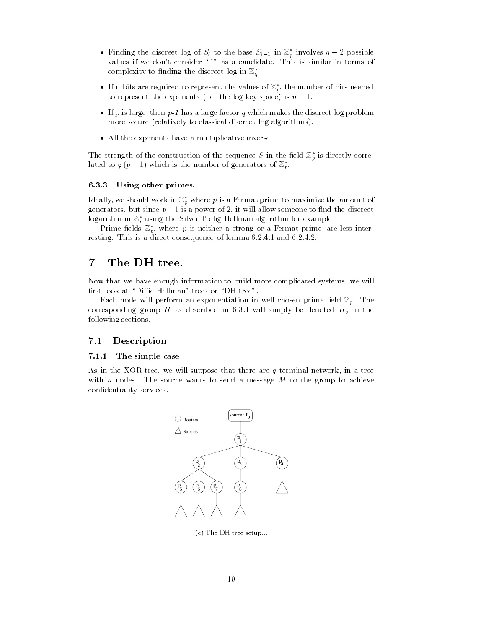- $\bullet$  -finding the discreet log of  $S_i$  to the base  $S_{i-1}$  in  $\mathbb{Z}_p$  involves  $q-2$  possible values if we don't consider "1" as a candidate. This is similar in terms of complexity to imaing the aiscreet log in  $\mathbb{Z}_q.$
- $\bullet\,$  If n bits are required to represent the values of  $\mathbb{Z}_p,$  the number of bits needed  $\,$ to represent the exponents (i.e. the log key space) is  $n-1$ .
- $\bullet$  If p is large, then  $p$ -1 has a large factor  $q$  which makes the discreet log problem more secure (relatively to classical discreet log algorithms).
- $\bullet\,$  All the exponents have a multiplicative inverse.  $\,$

The strength of the construction of the sequence  $S$  in the field  $\mathbb{Z}_p$  is directly correlated to  $\varphi(p-1)$  which is the number of generators of  $\mathbb{Z}_p$ .

#### 6.3.3 Using other primes.

ideally, we should work in  $\mathbb{Z}_p$  where  $p$  is a Fermat prime to maximize the amount of generators, but since  $p-1$  is a power of 2, it will allow someone to find the discreet  $\log$ arithm in  $\mathbb{Z}_p$  using the Silver-Pollig-Hellman algorithm for example.

Prime neids  $\mathbb{Z}_p,$  where  $p$  is neither a strong or a Fermat prime, are less interresting. This is a direct consequence of lemma 6.2.4.1 and 6.2.4.2.

#### $\overline{7}$ The DH tree.

Now that we have enough information to build more complicated systems, we will first look at "Diffie-Hellman" trees or "DH tree".

Each node will perform an exponentiation in well chosen prime field  $\mathbb{Z}_p$ . The corresponding group H as described in 6.3.1 will simply be denoted  $H_p$  in the following sections.

## 7.1 Description

#### 7.1.1 The simple case

As in the XOR tree, we will suppose that there are  $q$  terminal network, in a tree with n nodes. The source wants to send a message  $M$  to the group to achieve condentiality services.



(e) The DH tree setup...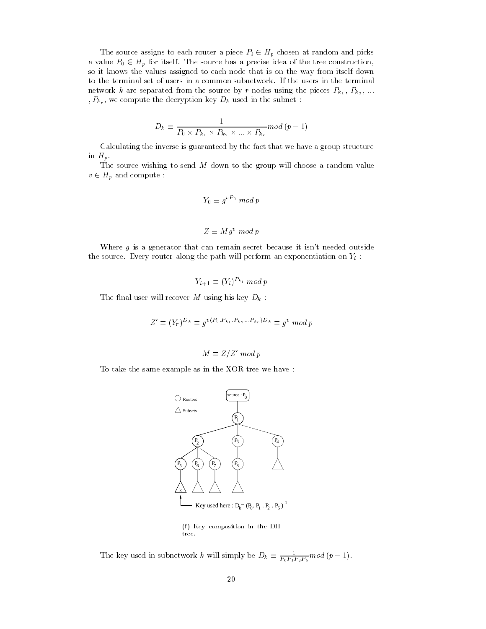The source assigns to each router a piece  $P_i \in H_p$  chosen at random and picks a value  $P_0 \in H_p$  for itself. The source has a precise idea of the tree construction, so it knows the values assigned to each node that is on the way from itself down to the terminal set of users in a common subnetwork. If the users in the terminal network k are separated from the source by r nodes using the pieces  $P_{k_1}$ ,  $P_{k_2}$ , ... ,  $P_{k_r}$ , we compute the decryption key  $D_k$  used in the subnet :

$$
D_k \equiv \frac{1}{P_0 \times P_{k_1} \times P_{k_2} \times \ldots \times P_{k_r}} mod (p-1)
$$

Calculating the inverse is guaranteed by the fact that we have a group structure in  $H_p$ .

The source wishing to send M down to the group will choose a random value  $v \in H_p$  and compute :

$$
Y_0 \equiv g^{vP_0} \mod p
$$
  

$$
Z \equiv Mg^v \mod p
$$

Where g is a generator that can remain secret because it isn't needed outside the source. Every router along the path will perform an exponentiation on  $Y_i$ :

$$
Y_{i+1} \equiv (Y_i)^{P_{k_i}} \bmod p
$$

The final user will recover M using his key  $D_k$ :

$$
Z' \equiv (Y_r)^{D_k} \equiv g^{v(P_0, P_{k_1}, P_{k_2} \dots P_{k_r})D_k} \equiv g^v \bmod p
$$

$$
M \equiv Z/Z' \bmod p
$$

To take the same example as in the XOR tree we have :



(f) Key composition in the DH tree.

The key used in subnetwork k will simply be  $D_k \equiv \frac{1}{P_0 P_1 P_2 P_5} mod (p-1)$ .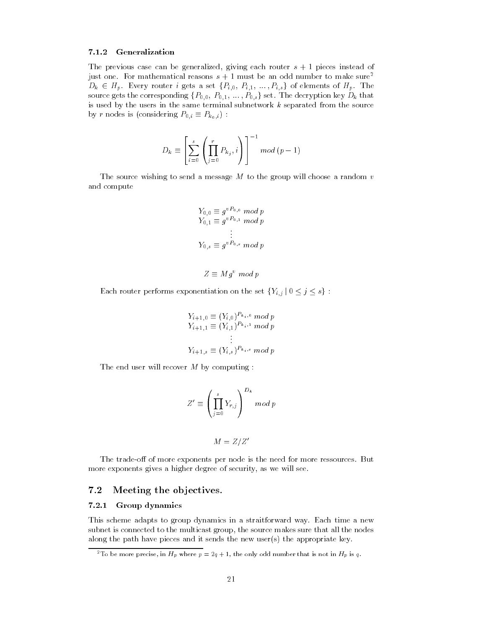#### 7.1.2 Generalization

The previous case can be generalized, giving each router  $s + 1$  pieces instead of just one. For mathematical reasons  $s + 1$  must be an odd number to make sure<sup>2</sup>  $D_k \in H_p$ . Every router i gets a set  $\{P_{i,0}, P_{i,1}, \ldots, P_{i,s}\}$  of elements of  $H_p$ . The source gets the corresponding  $\{P_{0,0},\ P_{0,1},\ ...,\ P_{0,s}\}$  set. The decryption key  $D_k$  that is used by the users in the same terminal subnetwork  $k$  separated from the source by r nodes is (considering  $P_{0,i} \equiv P_{k_0,i}$ ) :

$$
D_k \equiv \left[ \sum_{i=0}^s \left( \prod_{j=0}^r P_{k_j}, i \right) \right]^{-1} \mod (p-1)
$$

The source wishing to send a message  $M$  to the group will choose a random  $v$ and compute

$$
Y_{0,0} \equiv g^{vP_{0,0}} \mod p
$$
  
\n
$$
Y_{0,1} \equiv g^{vP_{0,1}} \mod p
$$
  
\n
$$
\vdots
$$
  
\n
$$
Y_{0,s} \equiv g^{vP_{0,s}} \mod p
$$

$$
Z \equiv M g^v \bmod p
$$

Each router performs exponentiation on the set  $\{Y_{i,j} | 0 \leq j \leq s\}$ :

$$
Y_{i+1,0} \equiv (Y_{i,0})^{P_{k_i,0}} \mod p
$$
  
\n
$$
Y_{i+1,1} \equiv (Y_{i,1})^{P_{k_i,1}} \mod p
$$
  
\n
$$
\vdots
$$
  
\n
$$
Y_{i+1,s} \equiv (Y_{i,s})^{P_{k_i,s}} \mod p
$$

The end user will recover  $M$  by computing :

$$
Z' \equiv \left(\prod_{j=0}^s Y_{r,j}\right)^{D_k} \mod p
$$

$$
M = Z/Z'
$$

The trade-off of more exponents per node is the need for more ressources. But more exponents gives a higher degree of security, as we will see.

### 7.2 Meeting the objectives.

#### 7.2.1 Group dynamics

This scheme adapts to group dynamics in a straitforward way. Each time a new subnet is connected to the multicast group, the source makes sure that all the nodes along the path have pieces and it sends the new user(s) the appropriate key.

<sup>&</sup>lt;sup>2</sup>To be more precise, in  $H_p$  where  $p = 2q + 1$ , the only odd number that is not in  $H_p$  is q.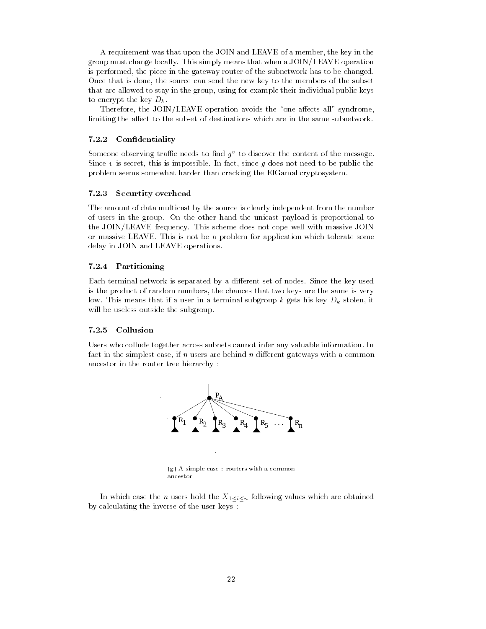A requirement was that upon the JOIN and LEAVE of a member, the key in the group must change locally. This simply means that when a JOIN/LEAVE operation is performed, the piece in the gateway router of the subnetwork has to be changed. Once that is done, the source can send the new key to the members of the subset that are allowed to stay in the group, using for example their individual public keys to encrypt the key  $D_k$ .

Therefore, the JOIN/LEAVE operation avoids the "one affects all" syndrome, limiting the affect to the subset of destinations which are in the same subnetwork.

#### 7.2.2 Condentiality

Someone observing trainc needs to find  $y_{\parallel}$  to discover the content of the message. Since v is secret, this is impossible. In fact, since q does not need to be public the problem seems somewhat harder than cracking the ElGamal cryptosystem.

#### 7.2.3 Securtity overhead

The amount of data multicast by the source is clearly independent from the number of users in the group. On the other hand the unicast payload is proportional to the JOIN/LEAVE frequency. This scheme does not cope well with massive JOIN or massive LEAVE. This is not be a problem for application which tolerate some delay in JOIN and LEAVE operations.

#### 7.2.4 Partitioning

Each terminal network is separated by a different set of nodes. Since the key used is the product of random numbers, the chances that two keys are the same is very low. This means that if a user in a terminal subgroup  $k$  gets his key  $D_k$  stolen, it will be useless outside the subgroup.

#### 7.2.5 Collusion

Users who collude together across subnets cannot infer any valuable information. In fact in the simplest case, if  $n$  users are behind  $n$  different gateways with a common ancestor in the router tree hierarchy :



In which case the *n* users hold the  $X_{1\leq i\leq n}$  following values which are obtained by calculating the inverse of the user keys :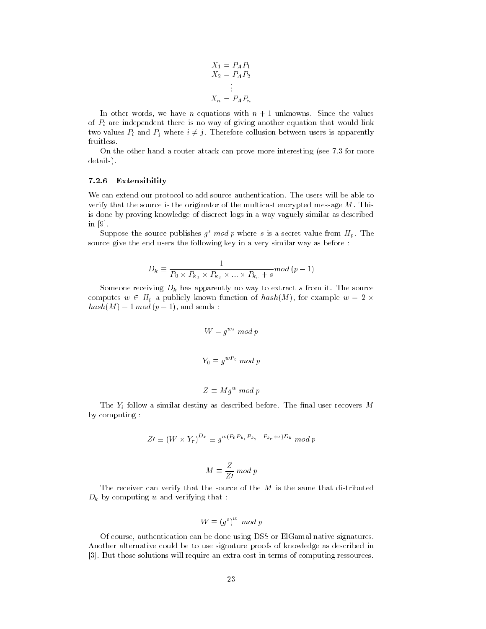$$
X_1 = P_A P_1
$$
  
\n
$$
X_2 = P_A P_2
$$
  
\n
$$
\vdots
$$
  
\n
$$
X_n = P_A P_n
$$

In other words, we have *n* equations with  $n + 1$  unknowns. Since the values of  $P_i$  are independent there is no way of giving another equation that would link two values  $P_i$  and  $P_j$  where  $i \neq j$ . Therefore collusion between users is apparently fruitless.

On the other hand a router attack can prove more interesting (see 7.3 for more details).

#### 7.2.6 Extensibility

We can extend our protocol to add source authentication. The users will be able to verify that the source is the originator of the multicast encrypted message  $M$ . This is done by proving knowledge of discreet logs in a way vaguely similar as described in [9].

Suppose the source publishes  $g^s \mod p$  where s is a secret value from  $H_p$ . The source give the end users the following key in a very similar way as before :

$$
D_k \equiv \frac{1}{P_0 \times P_{k_1} \times P_{k_2} \times \ldots \times P_{k_r} + s} \mod (p-1)
$$

Someone receiving  $D_k$  has apparently no way to extract s from it. The source computes  $w \in H_p$  a publicly known function of  $hash(M)$ , for example  $w = 2 \times ...$  $hash(M) + 1 mod (p - 1)$ , and sends :

$$
W = g^{ws} \mod p
$$

$$
Y_0 \equiv g^{wP_0} \mod p
$$

$$
Z \equiv Mg^w \; mod \; p
$$

The  $Y_i$  follow a similar destiny as described before. The final user recovers M by computing :

$$
Z\prime \equiv (W \times Y_r)^{D_k} \equiv g^{w(P_0 P_{k_1} P_{k_2} \dots P_{k_r} + s) D_k} \mod p
$$

$$
M \equiv \frac{Z}{ZI} \, mod \, p
$$

The receiver can verify that the source of the  $M$  is the same that distributed  $D_k$  by computing w and verifying that :

$$
W \equiv (g^s)^w \mod p
$$

Of course, authentication can be done using DSS or ElGamal native signatures. Another alternative could be to use signature proofs of knowledge as described in [3]. But those solutions will require an extra cost in terms of computing ressources.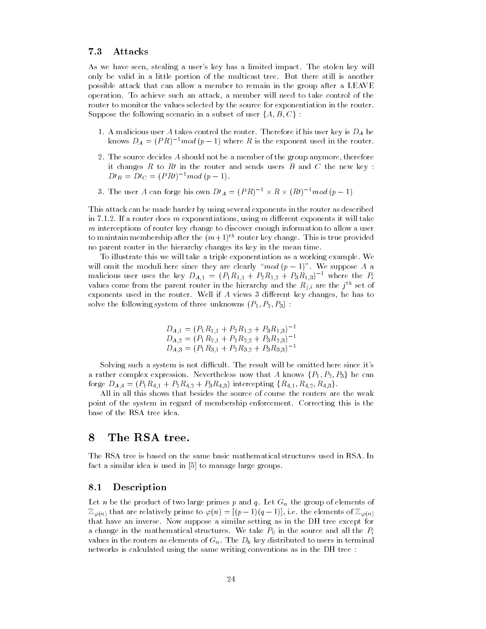### 7.3 Attacks

As we have seen, stealing a user's key has a limited impact. The stolen key will only be valid in a little portion of the multicast tree. But there still is another possible attack that can allow a member to remain in the group after a LEAVE operation. To achieve such an attack, a member will need to take control of the router to monitor the values selected by the source for exponentiation in the router. Suppose the following scenario in a subset of user  $\{A, B, C\}$ :

- 1. A malicious user A takes control the router. Therefore if his user key is  $D_A$  he knows  $D_A = (PR)^{-1} \mod (p-1)$  where R is the exponent used in the router.
- 2. The source decides A should not be a member of the group anymore, therefore it changes  $R$  to  $R$  in the router and sends users  $B$  and  $C$  the new key :  $Dt_B = Dt_C = (PRt)^{-1}mod (p-1).$
- 3. The user A can forge his own  $D\ell_A = (PR)^{-1} \times R \times (R\ell)^{-1} \mod (p-1)$

This attack can be made harder by using several exponents in the router as described in 7.1.2. If a router does  $m$  exponentiations, using  $m$  different exponents it will take m interceptions of router key change to discover enough information to allow a user to maintain membership after the  $(m+1)^{th}$  router key change. This is true provided no parent router in the hierarchy changes its key in the mean time.

To illustrate this we will take a triple exponentiation as a working example. We will omit the moduli here since they are clearly " $mod (p - 1)$ ". We suppose A a malicious user uses the key  $D_{A,1} = (P_1R_{1,1} + P_2R_{1,2} + P_3R_{1,3})^{-1}$  where the  $P_i$ values come from the parent router in the hierarchy and the  $R_{i,i}$  are the  $j$  – set of exponents used in the router. Well if  $A$  views 3 different key changes, he has to solve the following system of three unknowns  $(P_1, P_2, P_3)$ :

$$
D_{A,1} = (P_1 R_{1,1} + P_2 R_{1,2} + P_3 R_{1,3})^{-1}
$$
  
\n
$$
D_{A,2} = (P_1 R_{2,1} + P_2 R_{2,2} + P_3 R_{2,3})^{-1}
$$
  
\n
$$
D_{A,3} = (P_1 R_{3,1} + P_2 R_{3,2} + P_3 R_{3,3})^{-1}
$$

Solving such a system is not difficult. The result will be omitted here since it's a rather complex expression. Nevertheless now that A knows  $\{P_1, P_2, P_3\}$  he can forge  $D_{A,4} = (P_1R_{4,1} + P_2R_{4,2} + P_3R_{4,3})$  intercepting  $\{R_{4,1}, R_{4,2}, R_{4,3}\}.$ 

All in all this shows that besides the source of course the routers are the weak point of the system in regard of membership enforcement. Correcting this is the base of the RSA tree idea.

## 8 The RSA tree.

The RSA tree is based on the same basic mathematical structures used in RSA. In fact a similar idea is used in [5] to manage large groups.

## 8.1 Description

Let n be the product of two large primes p and q. Let  $G_n$  the group of elements of  $\mathbb{Z}_{\varphi(n)}$  that are relatively prime to  $\varphi(n) = [(p-1)(q-1)]$ , i.e. the elements of  $\mathbb{Z}_{\varphi(n)}$ that have an inverse. Now suppose a similar setting as in the DH tree except for a change in the mathematical structures. We take  $P_0$  in the source and all the  $P_i$ values in the routers as elements of  $G_n$ . The  $D_k$  key distributed to users in terminal networks is calculated using the same writing conventions as in the DH tree :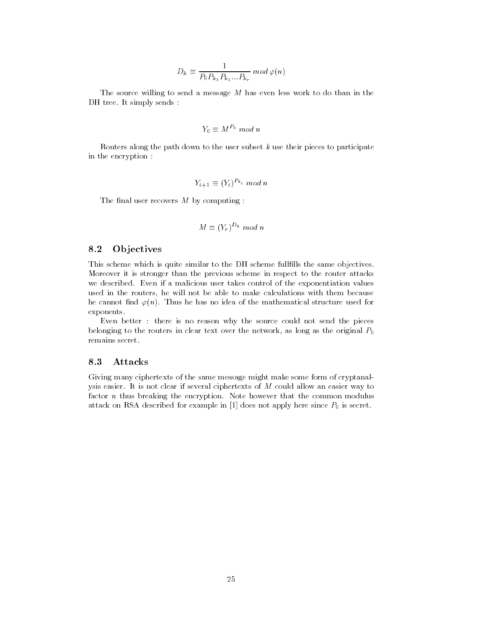$$
D_k \equiv \frac{1}{P_0 P_{k_1} P_{k_2} ... P_{k_r}} \mod \varphi(n)
$$

The source willing to send a message  $M$  has even less work to do than in the DH tree. It simply sends :

$$
Y_0 \equiv M^{P_0} \bmod n
$$

Routers along the path down to the user subset  $k$  use their pieces to participate in the encryption :

$$
Y_{i+1} \equiv (Y_i)^{P_{k_i}} \mod n
$$

The final user recovers  $M$  by computing :

$$
M \equiv (Y_r)^{D_k} \mod n
$$

### 8.2 Ob jectives

This scheme which is quite similar to the DH scheme fullfills the same objectives. Moreover it is stronger than the previous scheme in respect to the router attacks we described. Even if a malicious user takes control of the exponentiation values used in the routers, he will not be able to make calculations with them because he cannot find  $\varphi(n)$ . Thus he has no idea of the mathematical structure used for exponents.

Even better : there is no reason why the source could not send the pieces belonging to the routers in clear text over the network, as long as the original  $P_0$ remains secret.

#### 8.3 Attacks

Giving many ciphertexts of the same message might make some form of cryptanalysis easier. It is not clear if several ciphertexts of M could allow an easier way to factor *n* thus breaking the encryption. Note however that the common modulus attack on RSA described for example in [1] does not apply here since  $P_0$  is secret.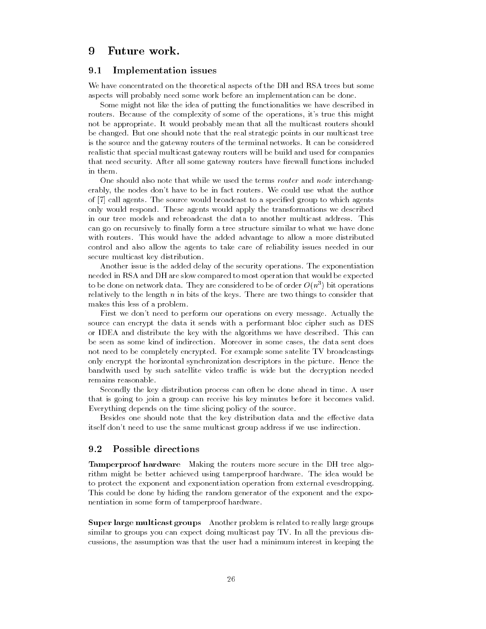## 9

#### 9.1 Implementation issues

We have concentrated on the theoretical aspects of the DH and RSA trees but some aspects will probably need some work before an implementation can be done.

Some might not like the idea of putting the functionalities we have described in routers. Because of the complexity of some of the operations, it's true this might not be appropriate. It would probably mean that all the multicast routers should be changed. But one should note that the real strategic points in our multicast tree is the source and the gateway routers of the terminal networks. It can be considered realistic that special multicast gateway routers will be build and used for companies that need security. After all some gateway routers have firewall functions included in them.

One should also note that while we used the terms *router* and *node* interchangerably, the nodes don't have to be in fact routers. We could use what the author of [7] call agents. The source would broadcast to a specied group to which agents only would respond. These agents would apply the transformations we described in our tree models and rebroadcast the data to another multicast address. This can go on recursively to finally form a tree structure similar to what we have done with routers. This would have the added advantage to allow a more distributed control and also allow the agents to take care of reliability issues needed in our secure multicast key distribution.

Another issue is the added delay of the security operations. The exponentiation needed in RSA and DH are slow compared to most operation that would be expected to be done on network data. They are considered to be of order  $O(n^+)$  bit operations relatively to the length  $n$  in bits of the keys. There are two things to consider that makes this less of a problem.

First we don't need to perform our operations on every message. Actually the source can encrypt the data it sends with a performant bloc cipher such as DES or IDEA and distribute the key with the algorithms we have described. This can be seen as some kind of indirection. Moreover in some cases, the data sent does not need to be completely encrypted. For example some satelite TV broadcastings only encrypt the horizontal synchronization descriptors in the picture. Hence the bandwith used by such satellite video traffic is wide but the decryption needed remains reasonable.

Secondly the key distribution process can often be done ahead in time. A user that is going to join a group can receive his key minutes before it becomes valid. Everything depends on the time slicing policy of the source.

Besides one should note that the key distribution data and the effective data itself don't need to use the same multicast group address if we use indirection.

#### $9.2$ Possible directions

Tamperproof hardware Making the routers more secure in the DH tree algorithm might be better achieved using tamperproof hardware. The idea would be to protect the exponent and exponentiation operation from external evesdropping. This could be done by hiding the random generator of the exponent and the exponentiation in some form of tamperproof hardware.

Super large multicast groups Another problem is related to really large groups similar to groups you can expect doing multicast pay TV. In all the previous discussions, the assumption was that the user had a minimum interest in keeping the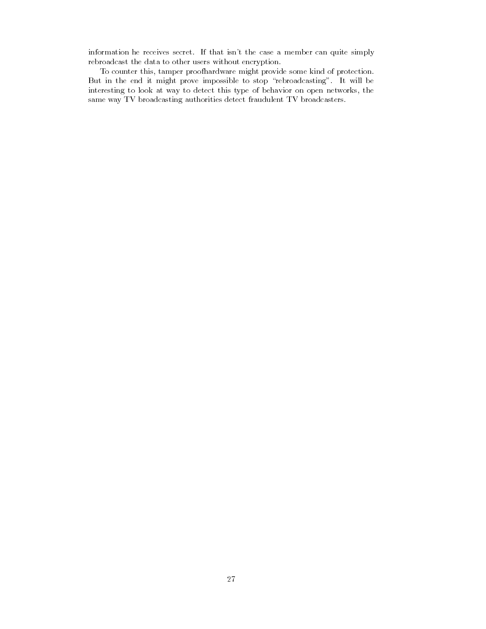information he receives secret. If that isn't the case a member can quite simply rebroadcast the data to other users without encryption.

To counter this, tamper proofhardware might provide some kind of protection. But in the end it might prove impossible to stop \rebroadcasting". It will be interesting to look at way to detect this type of behavior on open networks, the same way TV broadcasting authorities detect fraudulent TV broadcasters.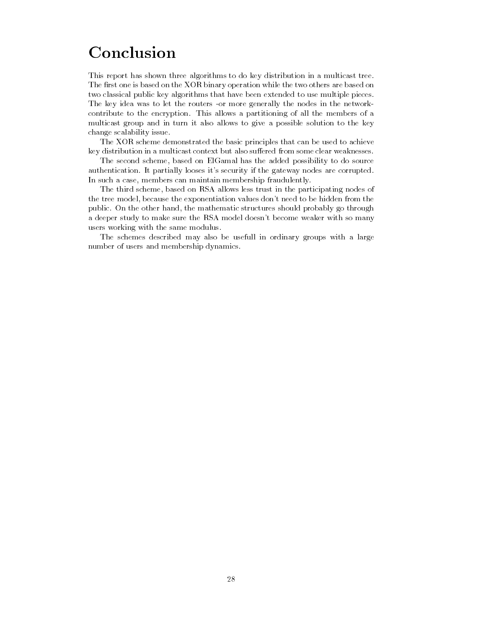# Conclusion

This report has shown three algorithms to do key distribution in a multicast tree. The first one is based on the XOR binary operation while the two others are based on two classical public key algorithms that have been extended to use multiple pieces. The key idea was to let the routers -or more generally the nodes in the networkcontribute to the encryption. This allows a partitioning of all the members of a multicast group and in turn it also allows to give a possible solution to the key change scalability issue.

The XOR scheme demonstrated the basic principles that can be used to achieve key distribution in a multicast context but also suffered from some clear weaknesses.

The second scheme, based on ElGamal has the added possibility to do source authentication. It partially looses it's security if the gateway nodes are corrupted. In such a case, members can maintain membership fraudulently.

The third scheme, based on RSA allows less trust in the participating nodes of the tree model, because the exponentiation values don't need to be hidden from the public. On the other hand, the mathematic structures should probably go through a deeper study to make sure the RSA model doesn't become weaker with so many users working with the same modulus.

The schemes described may also be usefull in ordinary groups with a large number of users and membership dynamics.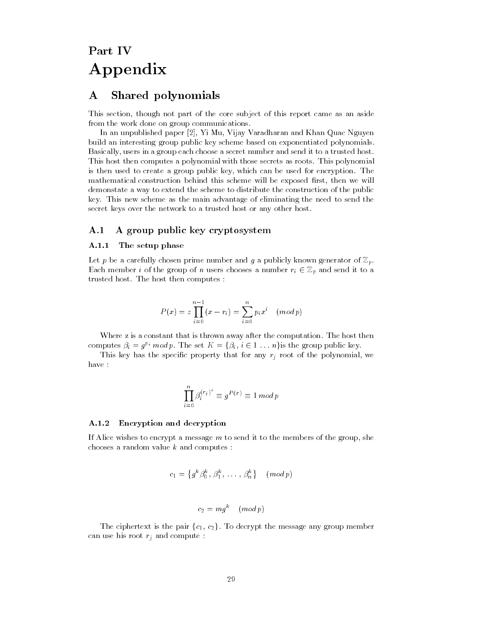# Part IV Appendix

# A Shared polynomials

This section, though not part of the core subject of this report came as an aside from the work done on group communications.

In an unpublished paper [2], Yi Mu, Vijay Varadharan and Khan Quac Nguyen build an interesting group public key scheme based on exponentiated polynomials. Basically, users in a group each choose a secret number and send it to a trusted host. This host then computes a polynomial with those secrets as roots. This polynomial is then used to create a group public key, which can be used for encryption. The mathematical construction behind this scheme will be exposed first, then we will demonstate a way to extend the scheme to distribute the construction of the public key. This new scheme as the main advantage of eliminating the need to send the secret keys over the network to a trusted host or any other host.

## A.1 A group public key cryptosystem

#### A.1.1 The setup phase

Let  $p$  be a carefully chosen prime number and  $g$  a publicly known generator of  $\mathbb{Z}_p$ . Each member *i* of the group of *n* users chooses a number  $r_i \in \mathbb{Z}_p$  and send it to a trusted host. The host then computes :

$$
P(x) = z \prod_{i=0}^{n-1} (x - r_i) = \sum_{i=0}^{n} p_i x^i \pmod{p}
$$

Where z is a constant that is thrown away after the computation. The host then computes  $\beta_i = g^{p_i} \mod p$ . The set  $K = \{\beta_i, i \in 1 \dots n\}$  is the group public key.

This key has the specific property that for any  $r_j$  root of the polynomial, we have :

$$
\prod_{i=0}^n \beta_i^{(r_j)^i} \equiv g^{P(x)} \equiv 1 \, mod \, p
$$

#### A.1.2 Encryption and decryption

If Alice wishes to encrypt a message  $m$  to send it to the members of the group, she chooses a random value  $k$  and computes :

$$
c_1 = \left\{ g^k \beta_0^k, \, \beta_1^k, \, \ldots, \, \beta_n^k \right\} \pmod{p}
$$

$$
c_2 = m g^{\kappa} \pmod{p}
$$

The ciphertext is the pair  ${c_1, c_2}$ . To decrypt the message any group member can use his root  $r_j$  and compute :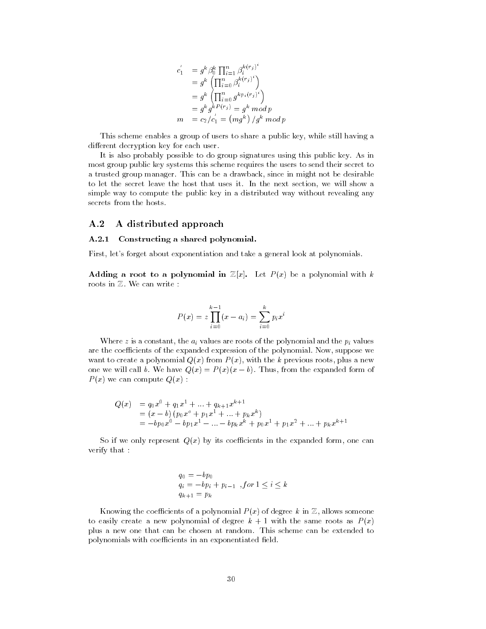$$
c'_{1} = g^{k} \beta_{0}^{k} \prod_{i=1}^{n} \beta_{i}^{k(r_{j})^{i}}
$$
  
=  $g^{k} \left( \prod_{i=0}^{n} \beta_{i}^{k(r_{j})^{i}} \right)$   
=  $g^{k} \left( \prod_{i=0}^{n} g^{kp_{i}(r_{j})^{i}} \right)$   
=  $g^{k} g^{k} P(r_{j}) = g^{k} \mod p$   
 $m = c_{2}/c'_{1} = (mg^{k}) / g^{k} \mod p$ 

This scheme enables a group of users to share a public key, while still having a different decryption key for each user.

It is also probably possible to do group signatures using this public key. As in most group public key systems this scheme requires the users to send their secret to a trusted group manager. This can be a drawback, since in might not be desirable to let the secret leave the host that uses it. In the next section, we will show a simple way to compute the public key in a distributed way without revealing any secrets from the hosts.

#### A.2 A distributed approach

#### A.2.1 Constructing a shared polynomial.

First, let's forget about exponentiation and take a general look at polynomials.

Adding a root to a polynomial in  $\mathbb{Z}[x]$ . Let  $P(x)$  be a polynomial with k roots in Z. We can write :

$$
P(x) = z \prod_{i=0}^{k-1} (x - a_i) = \sum_{i=0}^{k} p_i x^i
$$

Where z is a constant, the  $a_i$  values are roots of the polynomial and the  $p_i$  values are the coefficients of the expanded expression of the polynomial. Now, suppose we want to create a polynomial  $Q(x)$  from  $P(x)$ , with the k previous roots, plus a new one we will call b. We have  $Q(x) = P(x)(x - b)$ . Thus, from the expanded form of  $P(x)$  we can compute  $Q(x)$ :

$$
Q(x) = q_0 x^0 + q_1 x^1 + \dots + q_{k+1} x^{k+1}
$$
  
=  $(x - b) (p_0 x^0 + p_1 x^1 + \dots + p_k x^k)$   
=  $-b p_0 x^0 - b p_1 x^1 - \dots - b p_k x^k + p_0 x^1 + p_1 x^2 + \dots + p_k x^{k+1}$ 

So if we only represent  $Q(x)$  by its coefficients in the expanded form, one can verify that :

$$
q_0 = -bp_0
$$
  
\n
$$
q_i = -bp_i + p_{i-1} , for \ 1 \le i \le k
$$
  
\n
$$
q_{k+1} = p_k
$$

Knowing the coefficients of a polynomial  $P(x)$  of degree k in  $\mathbb Z$ , allows someone to easily create a new polynomial of degree  $k + 1$  with the same roots as  $P(x)$ plus a new one that can be chosen at random. This scheme can be extended to polynomials with coefficients in an exponentiated field.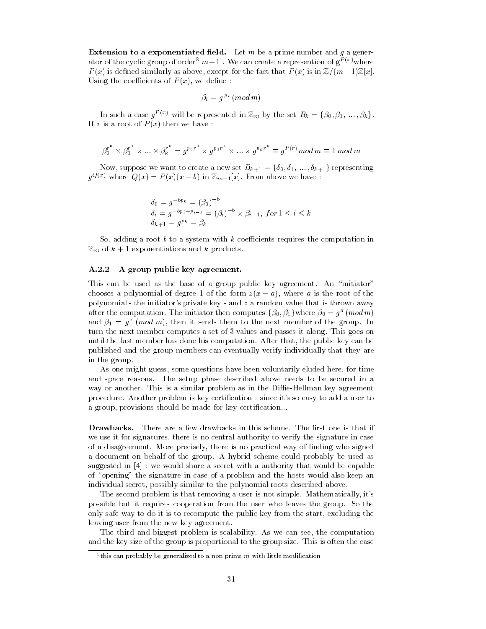**Extension to a exponentiated field.** Let  $m$  be a prime number and  $g$  a generator of the cyclic group of order<sup>3</sup>  $m-1$ . We can create a represention of  $g^{P(x)}$  where  $P(x)$  is defined similarly as above, except for the fact that  $P(x)$  is in  $\mathbb{Z}/(m-1)\mathbb{Z}[x]$ . Using the coefficients of  $P(x)$ , we define:

$$
\beta_i \equiv g^{\,p_{\,i}}\ (mod\ m)
$$

In such a case  $g^{P(x)}$  will be represented in  $\mathbb{Z}_m$  by the set  $B_k = \{\beta_0, \beta_1, \dots, \beta_k\}.$ If r is a root of  $P(x)$  then we have :

$$
{\beta_0^r}^{\circ}\times{\beta_1^r}^1\times\ldots\times{\beta_k^r}^k=g^{p_0r^0}\times g^{p_1r^1}\times\ldots\times g^{p_kr^k}\equiv g^{P(r)}mod\,m\equiv 1\,mod\,m
$$

Now, suppose we want to create a new set  $B_{k+1} = \{\delta_0, \delta_1, \ldots, \delta_{k+1}\}\)$  representing  $g^{Q(x)}$  where  $Q(x) = P(x)(x - b)$  in  $\mathbb{Z}_{m-1}[x]$ . From above we have :

$$
\delta_0 = g^{-bp_0} = (\beta_0)^{-b}
$$
  
\n
$$
\delta_i = g^{-bp_i + p_{i-1}} = (\beta_i)^{-b} \times \beta_{i-1}, \text{ for } 1 \le i \le k
$$
  
\n
$$
\delta_{k+1} = g^{p_k} = \beta_k
$$

So, adding a root b to a system with k coefficients requires the computation in  $\mathbb{Z}_m$  of  $k+1$  exponentiations and k products.

#### A.2.2 A group public key agreement.

This can be used as the base of a group public key agreement. An "initiator" chooses a polynomial of degree 1 of the form  $z(x - a)$ , where a is the root of the polynomial - the initiator's private key - and  $z$  a random value that is thrown away after the computation. The initiator then computes  $\{\beta_0, \beta_1\}$  where  $\beta_0 = g^a \pmod{m}$ and  $\rho_1 = g$  (*mod m*), then it sends them to the next member of the group. In turn the next member computes a set of 3 values and passes it along. This goes on until the last member has done his computation. After that, the public key can be published and the group members can eventually verify individually that they are in the group.

As one might guess, some questions have been voluntarily eluded here, for time and space reasons. The setup phase described above needs to be secured in a way or another. This is a similar problem as in the Diffie-Hellman key agreement procedure. Another problem is key certication : since it's so easy to add a user to a group, provisions should be made for key certification...

**Drawbacks.** There are a few drawbacks in this scheme. The first one is that if we use it for signatures, there is no central authority to verify the signature in case of a disagreement. More precisely, there is no practical way of nding who signed a document on behalf of the group. A hybrid scheme could probably be used as suggested in [4]: we would share a secret with a authority that would be capable of "opening" the signature in case of a problem and the hosts would also keep an individual secret, possibly similar to the polynomial roots described above.

The second problem is that removing a user is not simple. Mathematically, it's possible but it requires cooperation from the user who leaves the group. So the only safe way to do it is to recompute the public key from the start, excluding the leaving user from the new key agreement.

The third and biggest problem is scalability. As we can see, the computation and the key size of the group is proportional to the group size. This is often the case

 $\,$  this can probably be generalized to a non-prime  $m$  with little modification  $\,$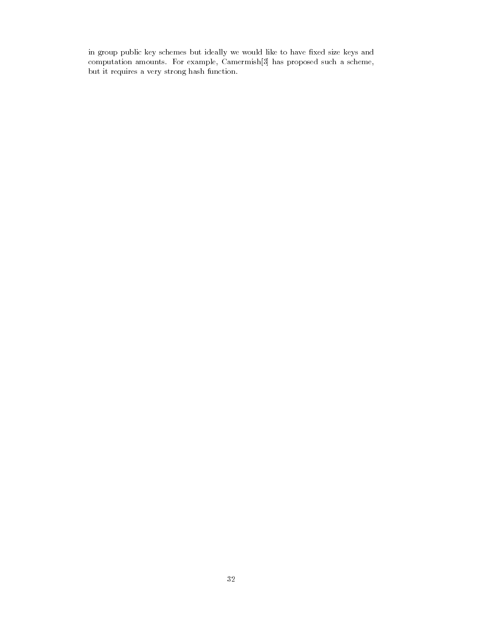in group public key schemes but ideally we would like to have xed size keys and computation amounts. For example, Camermish[3] has proposed such a scheme, but it requires a very strong hash function.